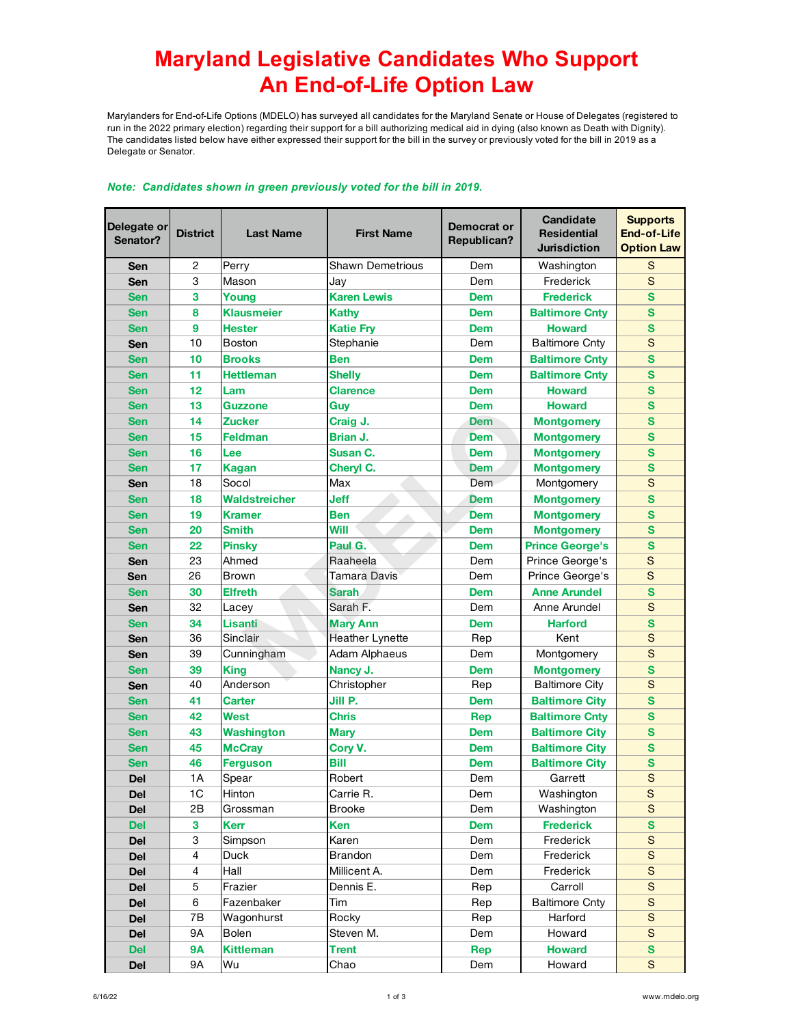## **Maryland Legislative Candidates Who Support An End-of-Life Option Law**

Marylanders for End-of-Life Options (MDELO) has surveyed all candidates for the Maryland Senate or House of Delegates (registered to run in the 2022 primary election) regarding their support for a bill authorizing medical aid in dying (also known as Death with Dignity). The candidates listed below have either expressed their support for the bill in the survey or previously voted for the bill in 2019 as a Delegate or Senator.

| Delegate or<br>Senator? | <b>District</b>          | <b>Last Name</b>  | <b>First Name</b>      | Democrat or<br>Republican? | Candidate<br><b>Residential</b><br><b>Jurisdiction</b> | <b>Supports</b><br>End-of-Life<br><b>Option Law</b> |
|-------------------------|--------------------------|-------------------|------------------------|----------------------------|--------------------------------------------------------|-----------------------------------------------------|
| Sen                     | $\overline{c}$           | Perry             | Shawn Demetrious       | Dem                        | Washington                                             | S                                                   |
| Sen                     | 3                        | Mason             | Jay                    | Dem                        | Frederick                                              | S                                                   |
| <b>Sen</b>              | 3                        | Young             | <b>Karen Lewis</b>     | <b>Dem</b>                 | <b>Frederick</b>                                       | S                                                   |
| <b>Sen</b>              | 8                        | <b>Klausmeier</b> | <b>Kathy</b>           | <b>Dem</b>                 | <b>Baltimore Cnty</b>                                  | S                                                   |
| <b>Sen</b>              | 9                        | <b>Hester</b>     | <b>Katie Fry</b>       | <b>Dem</b>                 | <b>Howard</b>                                          | S                                                   |
| Sen                     | 10                       | <b>Boston</b>     | Stephanie              | Dem                        | <b>Baltimore Cnty</b>                                  | S                                                   |
| <b>Sen</b>              | 10                       | <b>Brooks</b>     | <b>Ben</b>             | <b>Dem</b>                 | <b>Baltimore Cnty</b>                                  | S                                                   |
| <b>Sen</b>              | 11                       | <b>Hettleman</b>  | <b>Shelly</b>          | <b>Dem</b>                 | <b>Baltimore Cnty</b>                                  | S                                                   |
| <b>Sen</b>              | 12                       | Lam               | <b>Clarence</b>        | <b>Dem</b>                 | <b>Howard</b>                                          | S                                                   |
| <b>Sen</b>              | 13                       | Guzzone           | Guy                    | <b>Dem</b>                 | <b>Howard</b>                                          | S                                                   |
| <b>Sen</b>              | 14                       | <b>Zucker</b>     | Craig J.               | <b>Dem</b>                 | <b>Montgomery</b>                                      | S                                                   |
| <b>Sen</b>              | 15                       | <b>Feldman</b>    | Brian J.               | <b>Dem</b>                 | <b>Montgomery</b>                                      | S                                                   |
| <b>Sen</b>              | 16                       | Lee               | Susan C.               | <b>Dem</b>                 | <b>Montgomery</b>                                      | S                                                   |
| <b>Sen</b>              | 17                       | <b>Kagan</b>      | Cheryl C.              | <b>Dem</b>                 | <b>Montgomery</b>                                      | S                                                   |
| Sen                     | 18                       | Socol             | Max                    | Dem                        | Montgomery                                             | S                                                   |
| <b>Sen</b>              | 18                       | Waldstreicher     | <b>Jeff</b>            | <b>Dem</b>                 | <b>Montgomery</b>                                      | S                                                   |
| <b>Sen</b>              | 19                       | <b>Kramer</b>     | <b>Ben</b>             | <b>Dem</b>                 | <b>Montgomery</b>                                      | S                                                   |
| <b>Sen</b>              | 20                       | <b>Smith</b>      | Will                   | <b>Dem</b>                 | <b>Montgomery</b>                                      | S                                                   |
| <b>Sen</b>              | 22                       | <b>Pinsky</b>     | Paul G.                | <b>Dem</b>                 | <b>Prince George's</b>                                 | S                                                   |
| Sen                     | 23                       | Ahmed             | Raaheela               | Dem                        | Prince George's                                        | S                                                   |
| Sen                     | 26                       | <b>Brown</b>      | Tamara Davis           | Dem                        | Prince George's                                        | S                                                   |
| <b>Sen</b>              | 30                       | <b>Elfreth</b>    | Sarah.                 | <b>Dem</b>                 | <b>Anne Arundel</b>                                    | S                                                   |
| Sen                     | 32                       | Lacey             | Sarah F.               | Dem                        | Anne Arundel                                           | S                                                   |
| <b>Sen</b>              | 34                       | <b>Lisanti</b>    | <b>Mary Ann</b>        | <b>Dem</b>                 | <b>Harford</b>                                         | S                                                   |
| Sen                     | 36                       | Sinclair          | <b>Heather Lynette</b> | Rep                        | Kent                                                   | S                                                   |
| Sen                     | 39                       | Cunningham        | Adam Alphaeus          | Dem                        | Montgomery                                             | S                                                   |
| <b>Sen</b>              | 39                       | <b>King</b>       | Nancy J.               | <b>Dem</b>                 | <b>Montgomery</b>                                      | S                                                   |
| Sen                     | 40                       | Anderson          | Christopher            | Rep                        | <b>Baltimore City</b>                                  | S                                                   |
| <b>Sen</b>              | 41                       | <b>Carter</b>     | Jill P.                | <b>Dem</b>                 | <b>Baltimore City</b>                                  | S                                                   |
| <b>Sen</b>              | 42                       | <b>West</b>       | Chris                  | <b>Rep</b>                 | <b>Baltimore Cntv</b>                                  | S                                                   |
| <b>Sen</b>              | 43                       | <b>Washington</b> | <b>Mary</b>            | <b>Dem</b>                 | <b>Baltimore City</b>                                  | S                                                   |
| <b>Sen</b>              | 45                       | <b>McCray</b>     | Cory V.                | <b>Dem</b>                 | <b>Baltimore City</b>                                  | S                                                   |
| Sen                     | 46                       | <b>Ferguson</b>   | <b>Bill</b>            | <b>Dem</b>                 | <b>Baltimore City</b>                                  | S                                                   |
| Del                     | 1A                       | Spear             | Robert                 | Dem                        | Garrett                                                | S                                                   |
| <b>Del</b>              | 1C                       | Hinton            | Carrie R.              | Dem                        | Washington                                             | $\mathbf S$                                         |
| <b>Del</b>              | 2B                       | Grossman          | <b>Brooke</b>          | Dem                        | Washington                                             | $\mathbf S$                                         |
| <b>Del</b>              | 3                        | <b>Kerr</b>       | Ken                    | <b>Dem</b>                 | <b>Frederick</b>                                       | S                                                   |
| <b>Del</b>              | 3                        | Simpson           | Karen                  | Dem                        | Frederick                                              | $\mathbf S$                                         |
| <b>Del</b>              | $\overline{\mathcal{L}}$ | Duck              | Brandon                | Dem                        | Frederick                                              | $\mathbf S$                                         |
| <b>Del</b>              | $\overline{\mathcal{L}}$ | Hall              | Millicent A.           | Dem                        | Frederick                                              | $\mathbf S$                                         |
| <b>Del</b>              | 5                        | Frazier           | Dennis E.              | Rep                        | Carroll                                                | $\mathbf S$                                         |
| <b>Del</b>              | 6                        | Fazenbaker        | Tim                    | Rep                        | <b>Baltimore Cnty</b>                                  | $\mathbf S$                                         |
| <b>Del</b>              | 7B                       | Wagonhurst        | Rocky                  | Rep                        | Harford                                                | $\mathbf S$                                         |
| <b>Del</b>              | 9Α                       | Bolen             | Steven M.              | Dem                        | Howard                                                 | $\mathbf S$                                         |
| <b>Del</b>              | <b>9A</b>                | <b>Kittleman</b>  | <b>Trent</b>           | Rep                        | <b>Howard</b>                                          | $\mathbf{s}$                                        |
| <b>Del</b>              | <b>9A</b>                | Wu                | Chao                   | Dem                        | Howard                                                 | $\mathbf S$                                         |

## *Note: Candidates shown in green previously voted for the bill in 2019.*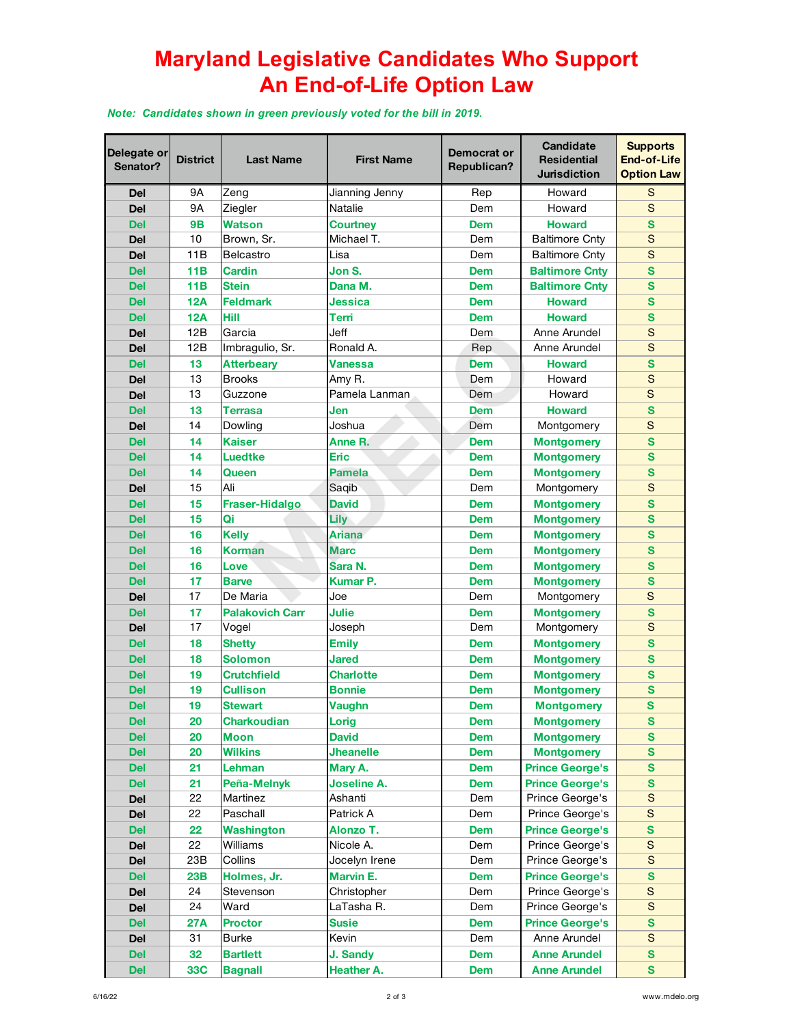## **Maryland Legislative Candidates Who Support An End-of-Life Option Law**

*Note: Candidates shown in green previously voted for the bill in 2019.*

| Delegate or<br>Senator? | <b>District</b> | <b>Last Name</b>       | <b>First Name</b> | Democrat or<br>Republican? | <b>Candidate</b><br><b>Residential</b><br><b>Jurisdiction</b> | <b>Supports</b><br>End-of-Life<br><b>Option Law</b> |
|-------------------------|-----------------|------------------------|-------------------|----------------------------|---------------------------------------------------------------|-----------------------------------------------------|
| Del                     | 9A              | Zeng                   | Jianning Jenny    | Rep                        | Howard                                                        | S                                                   |
| <b>Del</b>              | <b>9A</b>       | Ziegler                | Natalie           | Dem                        | Howard                                                        | S                                                   |
| <b>Del</b>              | <b>9B</b>       | <b>Watson</b>          | <b>Courtney</b>   | <b>Dem</b>                 | <b>Howard</b>                                                 | S                                                   |
| Del                     | 10              | Brown, Sr.             | Michael T.        | Dem                        | <b>Baltimore Cnty</b>                                         | S                                                   |
| Del                     | 11B             | <b>Belcastro</b>       | Lisa              | Dem                        | <b>Baltimore Cnty</b>                                         | S                                                   |
| <b>Del</b>              | 11B             | <b>Cardin</b>          | Jon S.            | <b>Dem</b>                 | <b>Baltimore Cnty</b>                                         | S                                                   |
| <b>Del</b>              | <b>11B</b>      | <b>Stein</b>           | Dana M.           | <b>Dem</b>                 | <b>Baltimore Cntv</b>                                         | S                                                   |
| <b>Del</b>              | <b>12A</b>      | <b>Feldmark</b>        | Jessica           | <b>Dem</b>                 | <b>Howard</b>                                                 | S                                                   |
| <b>Del</b>              | <b>12A</b>      | Hill                   | Terri             | <b>Dem</b>                 | <b>Howard</b>                                                 | S                                                   |
| Del                     | 12B             | Garcia                 | Jeff              | Dem                        | Anne Arundel                                                  | S                                                   |
| Del                     | 12B             | Imbragulio, Sr.        | Ronald A.         | Rep                        | Anne Arundel                                                  | S                                                   |
| <b>Del</b>              | 13              | <b>Atterbeary</b>      | <b>Vanessa</b>    | <b>Dem</b>                 | <b>Howard</b>                                                 | S                                                   |
| Del                     | 13              | <b>Brooks</b>          | Amy R.            | Dem                        | Howard                                                        | S                                                   |
| Del                     | 13              | Guzzone                | Pamela Lanman     | Dem                        | Howard                                                        | S                                                   |
| <b>Del</b>              | 13              | <b>Terrasa</b>         | Jen               | <b>Dem</b>                 | <b>Howard</b>                                                 | S                                                   |
| Del                     | 14              | Dowling                | Joshua            | Dem                        | Montgomery                                                    | S                                                   |
| <b>Del</b>              | 14              | <b>Kaiser</b>          | Anne R.           | Dem                        | <b>Montgomery</b>                                             | S                                                   |
| <b>Del</b>              | 14              | Luedtke                | <b>Eric</b>       | <b>Dem</b>                 | <b>Montgomery</b>                                             | S                                                   |
| <b>Del</b>              | 14              | Queen                  | <b>Pamela</b>     | Dem                        | <b>Montgomery</b>                                             | S                                                   |
| Del                     | 15              | Ali                    | Saqib             | Dem                        | Montgomery                                                    | S                                                   |
| <b>Del</b>              | 15              | <b>Fraser-Hidalgo</b>  | <b>David</b>      | <b>Dem</b>                 | <b>Montgomery</b>                                             | S                                                   |
| <b>Del</b>              | 15              | Qi                     | Lily              | <b>Dem</b>                 | <b>Montgomery</b>                                             | S                                                   |
| <b>Del</b>              | 16              | <b>Kelly</b>           | Ariana            | <b>Dem</b>                 | <b>Montgomery</b>                                             | S                                                   |
| <b>Del</b>              | 16              | <b>Korman</b>          | <b>Marc</b>       | <b>Dem</b>                 | <b>Montgomery</b>                                             | S                                                   |
| <b>Del</b>              | 16              | Love                   | Sara N.           | <b>Dem</b>                 | <b>Montgomery</b>                                             | S                                                   |
| <b>Del</b>              | 17              | <b>Barve</b>           | Kumar P.          | <b>Dem</b>                 | <b>Montgomery</b>                                             | S                                                   |
| Del                     | 17              | De Maria               | Joe               | Dem                        | Montgomery                                                    | S                                                   |
| <b>Del</b>              | 17              | <b>Palakovich Carr</b> | <b>Julie</b>      | <b>Dem</b>                 | <b>Montgomery</b>                                             | S                                                   |
| Del                     | 17              | Vogel                  | Joseph            | Dem                        | Montgomery                                                    | S                                                   |
| <b>Del</b>              | 18              | <b>Shetty</b>          | <b>Emily</b>      | <b>Dem</b>                 | <b>Montgomery</b>                                             | S                                                   |
| <b>Del</b>              | 18              | <b>Solomon</b>         | <b>Jared</b>      | Dem                        | <b>Montgomery</b>                                             | S                                                   |
| <b>Del</b>              | 19              | <b>Crutchfield</b>     | <b>Charlotte</b>  | <b>Dem</b>                 | <b>Montgomery</b>                                             | S                                                   |
| <b>Del</b>              | 19              | <b>Cullison</b>        | <b>Bonnie</b>     | <b>Dem</b>                 | <b>Montgomery</b>                                             | S                                                   |
| <b>Del</b>              | 19              | <b>Stewart</b>         | <b>Vaughn</b>     | <b>Dem</b>                 | <b>Montgomery</b>                                             | $\mathbf{s}$                                        |
| <b>Del</b>              | 20              | <b>Charkoudian</b>     | Lorig             | <b>Dem</b>                 | <b>Montgomery</b>                                             | $\mathbf{s}$                                        |
| <b>Del</b>              | 20              | <b>Moon</b>            | <b>David</b>      | <b>Dem</b>                 | <b>Montgomery</b>                                             | S                                                   |
| <b>Del</b>              | 20              | <b>Wilkins</b>         | <b>Jheanelle</b>  | <b>Dem</b>                 | <b>Montgomery</b>                                             | S                                                   |
| <b>Del</b>              | 21              | Lehman                 | Mary A.           | <b>Dem</b>                 | <b>Prince George's</b>                                        | S                                                   |
| <b>Del</b>              | 21              | Peña-Melnyk            | Joseline A.       | <b>Dem</b>                 | <b>Prince George's</b>                                        | S                                                   |
| Del                     | 22              | Martinez               | Ashanti           | Dem                        | Prince George's                                               | ${\mathsf S}$                                       |
| Del                     | 22              | Paschall               | Patrick A         | Dem                        | Prince George's                                               | S                                                   |
| <b>Del</b>              | 22              | <b>Washington</b>      | Alonzo T.         | <b>Dem</b>                 | <b>Prince George's</b>                                        | $\mathbf{s}$                                        |
| <b>Del</b>              | 22              | Williams               | Nicole A.         | Dem                        | Prince George's                                               | $\mathsf S$                                         |
| Del                     | 23B             | Collins                | Jocelyn Irene     | Dem                        | Prince George's                                               | ${\mathsf S}$                                       |
| <b>Del</b>              | 23B             | Holmes, Jr.            | <b>Marvin E.</b>  | <b>Dem</b>                 | <b>Prince George's</b>                                        | $\mathbf{s}$                                        |
| Del                     | 24              | Stevenson              | Christopher       | Dem                        | Prince George's                                               | $\mathsf S$                                         |
| Del                     | 24              | Ward                   | LaTasha R.        | Dem                        | Prince George's                                               | $\mathbf S$                                         |
| <b>Del</b>              | <b>27A</b>      | <b>Proctor</b>         | <b>Susie</b>      | <b>Dem</b>                 | <b>Prince George's</b>                                        | $\mathbf{s}$                                        |
| Del                     | 31              | <b>Burke</b>           | Kevin             | Dem                        | Anne Arundel                                                  | ${\mathsf S}$                                       |
| <b>Del</b>              | 32              | <b>Bartlett</b>        | J. Sandy          | <b>Dem</b>                 | <b>Anne Arundel</b>                                           | S                                                   |
| <b>Del</b>              | <b>33C</b>      | <b>Bagnall</b>         | <b>Heather A.</b> | <b>Dem</b>                 | <b>Anne Arundel</b>                                           | $\mathbf{s}$                                        |